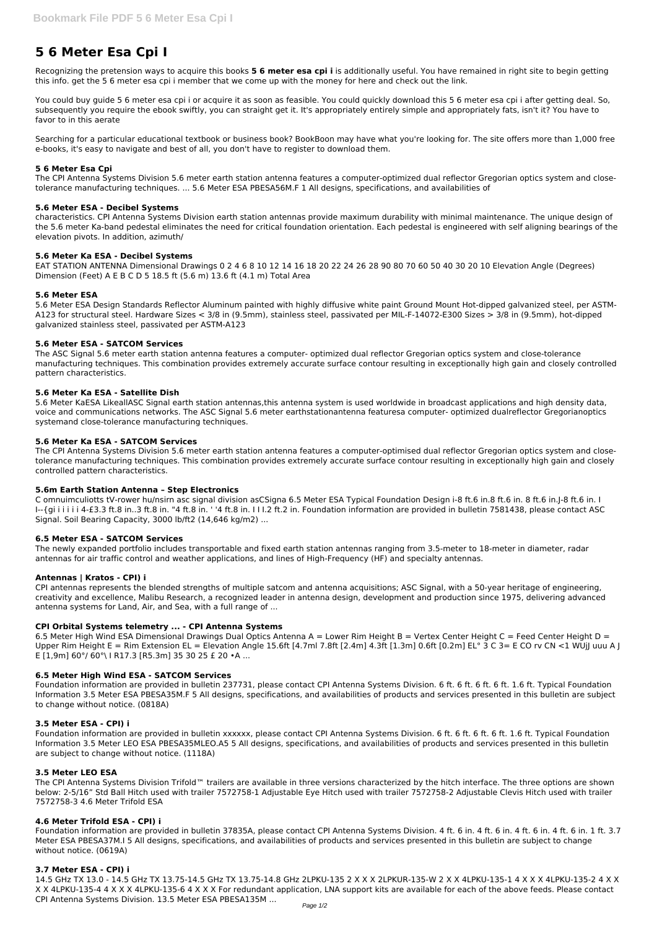# **5 6 Meter Esa Cpi I**

Recognizing the pretension ways to acquire this books **5 6 meter esa cpi i** is additionally useful. You have remained in right site to begin getting this info. get the 5 6 meter esa cpi i member that we come up with the money for here and check out the link.

You could buy guide 5 6 meter esa cpi i or acquire it as soon as feasible. You could quickly download this 5 6 meter esa cpi i after getting deal. So, subsequently you require the ebook swiftly, you can straight get it. It's appropriately entirely simple and appropriately fats, isn't it? You have to favor to in this aerate

Searching for a particular educational textbook or business book? BookBoon may have what you're looking for. The site offers more than 1,000 free e-books, it's easy to navigate and best of all, you don't have to register to download them.

# **5 6 Meter Esa Cpi**

The CPI Antenna Systems Division 5.6 meter earth station antenna features a computer-optimized dual reflector Gregorian optics system and closetolerance manufacturing techniques. ... 5.6 Meter ESA PBESA56M.F 1 All designs, specifications, and availabilities of

# **5.6 Meter ESA - Decibel Systems**

characteristics. CPI Antenna Systems Division earth station antennas provide maximum durability with minimal maintenance. The unique design of the 5.6 meter Ka-band pedestal eliminates the need for critical foundation orientation. Each pedestal is engineered with self aligning bearings of the elevation pivots. In addition, azimuth/

# **5.6 Meter Ka ESA - Decibel Systems**

EAT STATION ANTENNA Dimensional Drawings 0 2 4 6 8 10 12 14 16 18 20 22 24 26 28 90 80 70 60 50 40 30 20 10 Elevation Angle (Degrees) Dimension (Feet) A E B C D 5 18.5 ft (5.6 m) 13.6 ft (4.1 m) Total Area

#### **5.6 Meter ESA**

C omnuimculiotts tV-rower hu/nsirn asc signal division asCSigna 6.5 Meter ESA Typical Foundation Design i-8 ft.6 in.8 ft.6 in. 8 ft.6 in. 9 ft.6 in. -8 ft.6 in. I I--{gi i i i i i 4-£3.3 ft.8 in..3 ft.8 in. "4 ft.8 in. ' '4 ft.8 in. I I I.2 ft.2 in. Foundation information are provided in bulletin 7581438, please contact ASC Signal. Soil Bearing Capacity, 3000 lb/ft2 (14,646 kg/m2) ...

5.6 Meter ESA Design Standards Reflector Aluminum painted with highly diffusive white paint Ground Mount Hot-dipped galvanized steel, per ASTM-A123 for structural steel. Hardware Sizes < 3/8 in (9.5mm), stainless steel, passivated per MIL-F-14072-E300 Sizes > 3/8 in (9.5mm), hot-dipped galvanized stainless steel, passivated per ASTM-A123

# **5.6 Meter ESA - SATCOM Services**

The ASC Signal 5.6 meter earth station antenna features a computer- optimized dual reflector Gregorian optics system and close-tolerance manufacturing techniques. This combination provides extremely accurate surface contour resulting in exceptionally high gain and closely controlled pattern characteristics.

6.5 Meter High Wind ESA Dimensional Drawings Dual Optics Antenna A = Lower Rim Height B = Vertex Center Height C = Feed Center Height D = Upper Rim Height E = Rim Extension EL = Elevation Angle 15.6ft [4.7ml 7.8ft [2.4m] 4.3ft [1.3m] 0.6ft [0.2m] EL° 3 C 3= E CO rv CN <1 WUjJ uuu A J E [1,9m] 60°/ 60°\ I R17.3 [R5.3m] 35 30 25 £ 20 •A ...

#### **5.6 Meter Ka ESA - Satellite Dish**

5.6 Meter KaESA LikeallASC Signal earth station antennas,this antenna system is used worldwide in broadcast applications and high density data, voice and communications networks. The ASC Signal 5.6 meter earthstationantenna featuresa computer- optimized dualreflector Gregorianoptics systemand close-tolerance manufacturing techniques.

#### **5.6 Meter Ka ESA - SATCOM Services**

The CPI Antenna Systems Division 5.6 meter earth station antenna features a computer-optimised dual reflector Gregorian optics system and closetolerance manufacturing techniques. This combination provides extremely accurate surface contour resulting in exceptionally high gain and closely controlled pattern characteristics.

#### **5.6m Earth Station Antenna – Step Electronics**

#### **6.5 Meter ESA - SATCOM Services**

The newly expanded portfolio includes transportable and fixed earth station antennas ranging from 3.5-meter to 18-meter in diameter, radar antennas for air traffic control and weather applications, and lines of High-Frequency (HF) and specialty antennas.

#### **Antennas | Kratos - CPI) i**

CPI antennas represents the blended strengths of multiple satcom and antenna acquisitions; ASC Signal, with a 50-year heritage of engineering, creativity and excellence, Malibu Research, a recognized leader in antenna design, development and production since 1975, delivering advanced antenna systems for Land, Air, and Sea, with a full range of ...

# **CPI Orbital Systems telemetry ... - CPI Antenna Systems**

#### **6.5 Meter High Wind ESA - SATCOM Services**

Foundation information are provided in bulletin 237731, please contact CPI Antenna Systems Division. 6 ft. 6 ft. 6 ft. 6 ft. 1.6 ft. Typical Foundation Information 3.5 Meter ESA PBESA35M.F 5 All designs, specifications, and availabilities of products and services presented in this bulletin are subject

# **3.5 Meter ESA - CPI) i**

Foundation information are provided in bulletin xxxxxx, please contact CPI Antenna Systems Division. 6 ft. 6 ft. 6 ft. 6 ft. 1.6 ft. Typical Foundation Information 3.5 Meter LEO ESA PBESA35MLEO.A5 5 All designs, specifications, and availabilities of products and services presented in this bulletin are subject to change without notice. (1118A)

#### **3.5 Meter LEO ESA**

The CPI Antenna Systems Division Trifold™ trailers are available in three versions characterized by the hitch interface. The three options are shown below: 2-5/16" Std Ball Hitch used with trailer 7572758-1 Adjustable Eye Hitch used with trailer 7572758-2 Adjustable Clevis Hitch used with trailer 7572758-3 4.6 Meter Trifold ESA

#### **4.6 Meter Trifold ESA - CPI) i**

Foundation information are provided in bulletin 37835A, please contact CPI Antenna Systems Division. 4 ft. 6 in. 4 ft. 6 in. 4 ft. 6 in. 4 ft. 6 in. 1 ft. 3.7 Meter ESA PBESA37M.I 5 All designs, specifications, and availabilities of products and services presented in this bulletin are subject to change without notice. (0619A)

#### **3.7 Meter ESA - CPI) i**

14.5 GHz TX 13.0 - 14.5 GHz TX 13.75-14.5 GHz TX 13.75-14.8 GHz 2LPKU-135 2 X X X 2LPKUR-135-W 2 X X 4LPKU-135-1 4 X X X 4LPKU-135-2 4 X X X X 4LPKU-135-4 4 X X X 4LPKU-135-6 4 X X X For redundant application, LNA support kits are available for each of the above feeds. Please contact CPI Antenna Systems Division. 13.5 Meter ESA PBESA135M ...